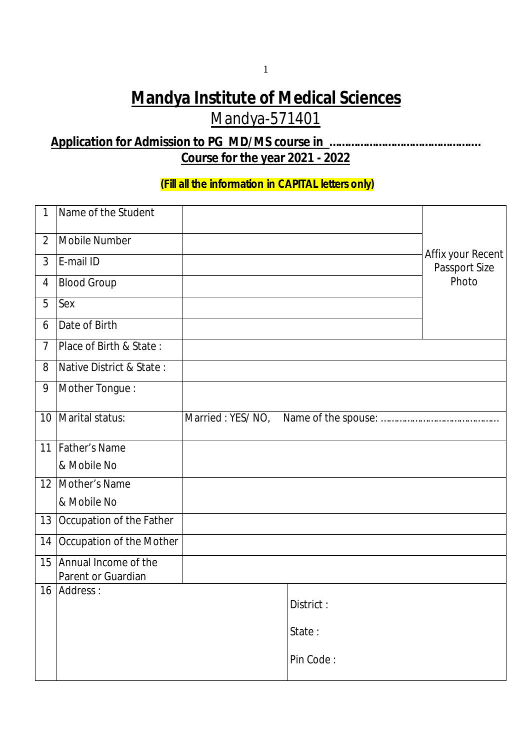# **Mandya Institute of Medical Sciences** Mandya-571401

## **Application for Admission to PG MD/MS course in ……………………………………….… Course for the year 2021 - 2022**

### **(Fill all the information in CAPITAL letters only)**

| $\mathbf{1}$    | Name of the Student                           |                  |           |                                           |  |
|-----------------|-----------------------------------------------|------------------|-----------|-------------------------------------------|--|
| $\overline{2}$  | <b>Mobile Number</b>                          |                  |           |                                           |  |
| $\overline{3}$  | E-mail ID                                     |                  |           | Affix your Recent<br><b>Passport Size</b> |  |
| $\overline{4}$  | <b>Blood Group</b>                            |                  |           | Photo                                     |  |
| 5               | Sex                                           |                  |           |                                           |  |
| 6               | Date of Birth                                 |                  |           |                                           |  |
| $\overline{7}$  | Place of Birth & State:                       |                  |           |                                           |  |
| 8               | Native District & State:                      |                  |           |                                           |  |
| 9               | Mother Tongue:                                |                  |           |                                           |  |
| 10 <sup>1</sup> | Marital status:                               | Married: YES/NO, |           |                                           |  |
|                 | 11   Father's Name                            |                  |           |                                           |  |
|                 | & Mobile No                                   |                  |           |                                           |  |
|                 | 12   Mother's Name                            |                  |           |                                           |  |
|                 | & Mobile No                                   |                  |           |                                           |  |
| 13              | Occupation of the Father                      |                  |           |                                           |  |
| 14              | <b>Occupation of the Mother</b>               |                  |           |                                           |  |
|                 | 15 Annual Income of the<br>Parent or Guardian |                  |           |                                           |  |
|                 | 16 Address:                                   |                  | District: |                                           |  |
|                 |                                               |                  |           |                                           |  |
|                 |                                               |                  | State:    |                                           |  |
|                 |                                               |                  | Pin Code: |                                           |  |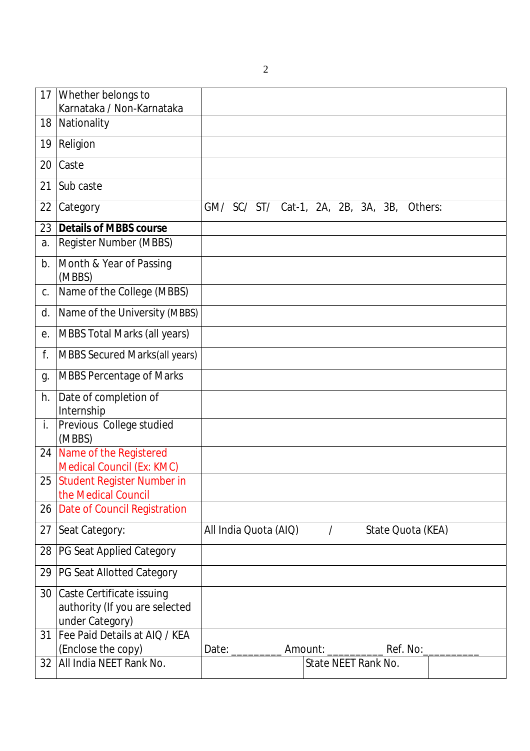2

| 17 | Whether belongs to<br>Karnataka / Non-Karnataka                                       |  |                       |          |                                            |  |  |
|----|---------------------------------------------------------------------------------------|--|-----------------------|----------|--------------------------------------------|--|--|
| 18 | Nationality                                                                           |  |                       |          |                                            |  |  |
| 19 | Religion                                                                              |  |                       |          |                                            |  |  |
| 20 | Caste                                                                                 |  |                       |          |                                            |  |  |
| 21 | Sub caste                                                                             |  |                       |          |                                            |  |  |
| 22 | Category                                                                              |  |                       |          | GM/ SC/ ST/ Cat-1, 2A, 2B, 3A, 3B, Others: |  |  |
| 23 | <b>Details of MBBS course</b>                                                         |  |                       |          |                                            |  |  |
| a. | <b>Register Number (MBBS)</b>                                                         |  |                       |          |                                            |  |  |
| b. | Month & Year of Passing<br>(MBBS)                                                     |  |                       |          |                                            |  |  |
| C. | Name of the College (MBBS)                                                            |  |                       |          |                                            |  |  |
| d. | Name of the University (MBBS)                                                         |  |                       |          |                                            |  |  |
| e. | <b>MBBS Total Marks (all years)</b>                                                   |  |                       |          |                                            |  |  |
| f. | <b>MBBS Secured Marks(all years)</b>                                                  |  |                       |          |                                            |  |  |
| g. | <b>MBBS Percentage of Marks</b>                                                       |  |                       |          |                                            |  |  |
| h. | Date of completion of<br>Internship                                                   |  |                       |          |                                            |  |  |
| i. | Previous College studied<br>(MBBS)                                                    |  |                       |          |                                            |  |  |
| 24 | Name of the Registered<br><b>Medical Council (Ex: KMC)</b>                            |  |                       |          |                                            |  |  |
| 25 | <b>Student Register Number in</b><br>the Medical Council                              |  |                       |          |                                            |  |  |
| 26 | <b>Date of Council Registration</b>                                                   |  |                       |          |                                            |  |  |
| 27 | Seat Category:                                                                        |  | All India Quota (AIQ) | $\prime$ | State Quota (KEA)                          |  |  |
| 28 | <b>PG Seat Applied Category</b>                                                       |  |                       |          |                                            |  |  |
| 29 | <b>PG Seat Allotted Category</b>                                                      |  |                       |          |                                            |  |  |
| 30 | <b>Caste Certificate issuing</b><br>authority (If you are selected<br>under Category) |  |                       |          |                                            |  |  |
| 31 | Fee Paid Details at AIQ / KEA<br>(Enclose the copy)                                   |  |                       |          | Amount: ________________ Ref. No:_         |  |  |
| 32 | All India NEET Rank No.                                                               |  |                       |          | <b>State NEET Rank No.</b>                 |  |  |
|    |                                                                                       |  |                       |          |                                            |  |  |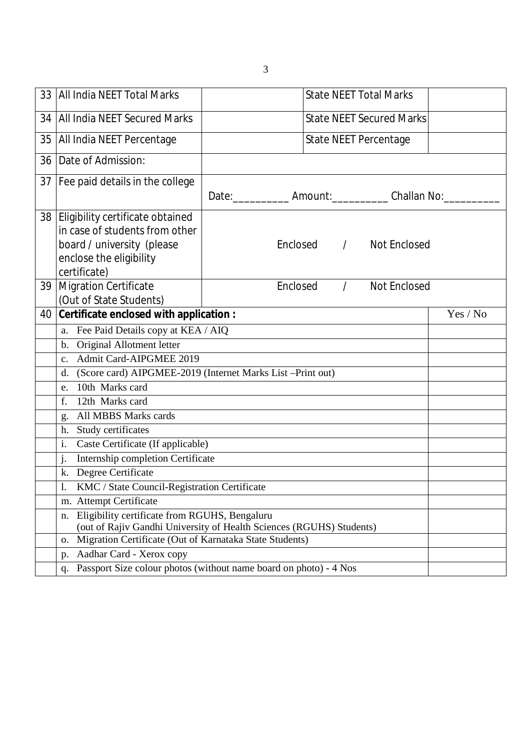| 33   All India NEET Total Marks                                                                                                 |                                   | <b>State NEET Total Marks</b> |                                                                  |  |  |  |
|---------------------------------------------------------------------------------------------------------------------------------|-----------------------------------|-------------------------------|------------------------------------------------------------------|--|--|--|
| 34   All India NEET Secured Marks                                                                                               | <b>State NEET Secured Marks</b>   |                               |                                                                  |  |  |  |
| 35   All India NEET Percentage                                                                                                  | State NEET Percentage             |                               |                                                                  |  |  |  |
| 36   Date of Admission:                                                                                                         |                                   |                               |                                                                  |  |  |  |
| 37   Fee paid details in the college                                                                                            |                                   |                               |                                                                  |  |  |  |
|                                                                                                                                 |                                   |                               | Date: ______________ Amount: _____________ Challan No: _________ |  |  |  |
| 38 Eligibility certificate obtained                                                                                             |                                   |                               |                                                                  |  |  |  |
| in case of students from other                                                                                                  |                                   |                               |                                                                  |  |  |  |
| board / university (please                                                                                                      | Enclosed /<br><b>Not Enclosed</b> |                               |                                                                  |  |  |  |
| enclose the eligibility                                                                                                         |                                   |                               |                                                                  |  |  |  |
| certificate)                                                                                                                    |                                   |                               |                                                                  |  |  |  |
| 39   Migration Certificate                                                                                                      | Enclosed                          | $\prime$                      | <b>Not Enclosed</b>                                              |  |  |  |
| (Out of State Students)                                                                                                         |                                   |                               |                                                                  |  |  |  |
| 40 Certificate enclosed with application :<br>Yes / No                                                                          |                                   |                               |                                                                  |  |  |  |
| a. Fee Paid Details copy at KEA / AIQ                                                                                           |                                   |                               |                                                                  |  |  |  |
| b. Original Allotment letter                                                                                                    |                                   |                               |                                                                  |  |  |  |
| c. Admit Card-AIPGMEE 2019                                                                                                      |                                   |                               |                                                                  |  |  |  |
| (Score card) AIPGMEE-2019 (Internet Marks List -Print out)<br>d.<br>e. 10th Marks card                                          |                                   |                               |                                                                  |  |  |  |
| 12th Marks card<br>f.                                                                                                           |                                   |                               |                                                                  |  |  |  |
| g. All MBBS Marks cards                                                                                                         |                                   |                               |                                                                  |  |  |  |
| Study certificates<br>h.                                                                                                        |                                   |                               |                                                                  |  |  |  |
| i.<br>Caste Certificate (If applicable)                                                                                         |                                   |                               |                                                                  |  |  |  |
| Internship completion Certificate<br>$\mathbf{i}$ .                                                                             |                                   |                               |                                                                  |  |  |  |
| k. Degree Certificate                                                                                                           |                                   |                               |                                                                  |  |  |  |
| KMC / State Council-Registration Certificate<br>-1.                                                                             |                                   |                               |                                                                  |  |  |  |
| m. Attempt Certificate                                                                                                          |                                   |                               |                                                                  |  |  |  |
| Eligibility certificate from RGUHS, Bengaluru<br>n.                                                                             |                                   |                               |                                                                  |  |  |  |
| (out of Rajiv Gandhi University of Health Sciences (RGUHS) Students)<br>Migration Certificate (Out of Karnataka State Students) |                                   |                               |                                                                  |  |  |  |
| 0.<br>Aadhar Card - Xerox copy                                                                                                  |                                   |                               |                                                                  |  |  |  |
| p.<br>Passport Size colour photos (without name board on photo) - 4 Nos<br>q.                                                   |                                   |                               |                                                                  |  |  |  |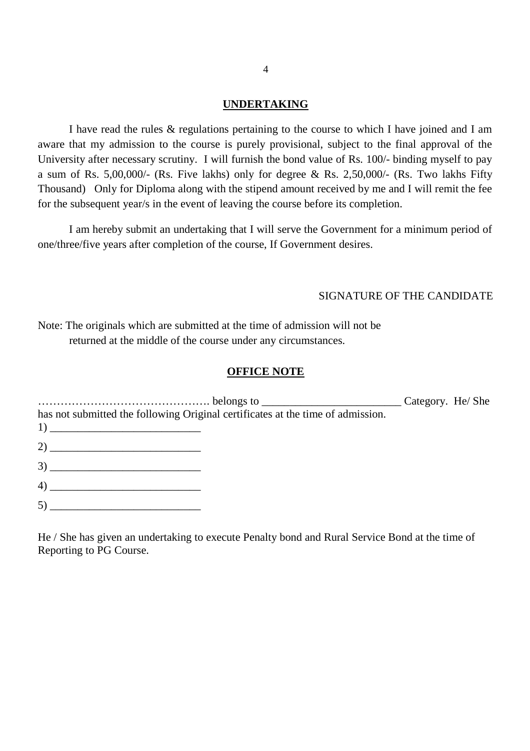#### **UNDERTAKING**

I have read the rules & regulations pertaining to the course to which I have joined and I am aware that my admission to the course is purely provisional, subject to the final approval of the University after necessary scrutiny. I will furnish the bond value of Rs. 100/- binding myself to pay a sum of Rs. 5,00,000/- (Rs. Five lakhs) only for degree & Rs. 2,50,000/- (Rs. Two lakhs Fifty Thousand) Only for Diploma along with the stipend amount received by me and I will remit the fee for the subsequent year/s in the event of leaving the course before its completion.

I am hereby submit an undertaking that I will serve the Government for a minimum period of one/three/five years after completion of the course, If Government desires.

#### SIGNATURE OF THE CANDIDATE

Note: The originals which are submitted at the time of admission will not be returned at the middle of the course under any circumstances.

#### **OFFICE NOTE**

………………………………………. belongs to \_\_\_\_\_\_\_\_\_\_\_\_\_\_\_\_\_\_\_\_\_\_\_\_\_ Category. He/ She has not submitted the following Original certificates at the time of admission.  $1)$  $2)$  $3)$ 4) \_\_\_\_\_\_\_\_\_\_\_\_\_\_\_\_\_\_\_\_\_\_\_\_\_\_\_

5) \_\_\_\_\_\_\_\_\_\_\_\_\_\_\_\_\_\_\_\_\_\_\_\_\_\_\_

He / She has given an undertaking to execute Penalty bond and Rural Service Bond at the time of Reporting to PG Course.